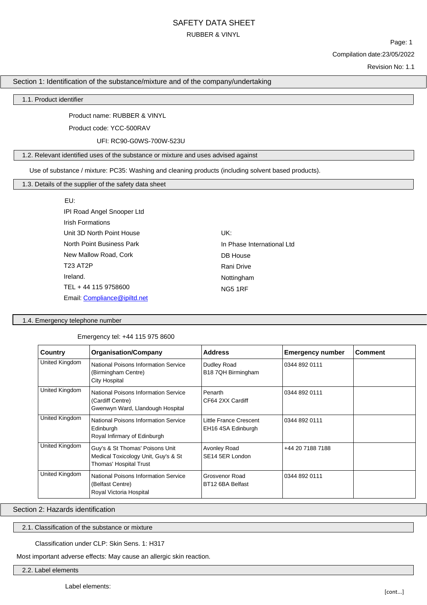Page: 1 Compilation date:23/05/2022

Revision No: 1.1

## Section 1: Identification of the substance/mixture and of the company/undertaking

1.1. Product identifier

Product name: RUBBER & VINYL

Product code: YCC-500RAV

UFI: RC90-G0WS-700W-523U

1.2. Relevant identified uses of the substance or mixture and uses advised against

Use of substance / mixture: PC35: Washing and cleaning products (including solvent based products).

1.3. Details of the supplier of the safety data sheet

EU: IPI Road Angel Snooper Ltd Irish Formations Unit 3D North Point House North Point Business Park New Mallow Road, Cork T23 AT2P Ireland. TEL + 44 115 9758600 Email: [Compliance@ipiltd.net](mailto:Compliance@ipiltd.net)

UK: In Phase International Ltd DB House Rani Drive Nottingham NG5 1RF

1.4. Emergency telephone number

Emergency tel: +44 115 975 8600

| Country                                                                                               | <b>Organisation/Company</b>                                                                                                                             | <b>Address</b>                               | <b>Emergency number</b> | <b>Comment</b> |
|-------------------------------------------------------------------------------------------------------|---------------------------------------------------------------------------------------------------------------------------------------------------------|----------------------------------------------|-------------------------|----------------|
| United Kingdom                                                                                        | National Poisons Information Service<br>(Birmingham Centre)<br><b>City Hospital</b>                                                                     | Dudley Road<br>B18 7QH Birmingham            | 0344 892 0111           |                |
| United Kingdom                                                                                        | <b>National Poisons Information Service</b><br>Penarth<br>0344 892 0111<br>(Cardiff Centre)<br>CF64 2XX Cardiff<br>Gwenwyn Ward, Llandough Hospital     |                                              |                         |                |
| United Kingdom                                                                                        | National Poisons Information Service<br>Edinburgh<br>Royal Infirmary of Edinburgh                                                                       | Little France Crescent<br>EH16 4SA Edinburgh | 0344 892 0111           |                |
| United Kingdom                                                                                        | Guy's & St Thomas' Poisons Unit<br>Avonley Road<br>+44 20 7188 7188<br>Medical Toxicology Unit, Guy's & St<br>SE14 5ER London<br>Thomas' Hospital Trust |                                              |                         |                |
| United Kingdom<br>National Poisons Information Service<br>(Belfast Centre)<br>Royal Victoria Hospital |                                                                                                                                                         | Grosvenor Road<br>BT12 6BA Belfast           | 0344 892 0111           |                |

Section 2: Hazards identification

2.1. Classification of the substance or mixture

Classification under CLP: Skin Sens. 1: H317

Most important adverse effects: May cause an allergic skin reaction.

2.2. Label elements

Label elements: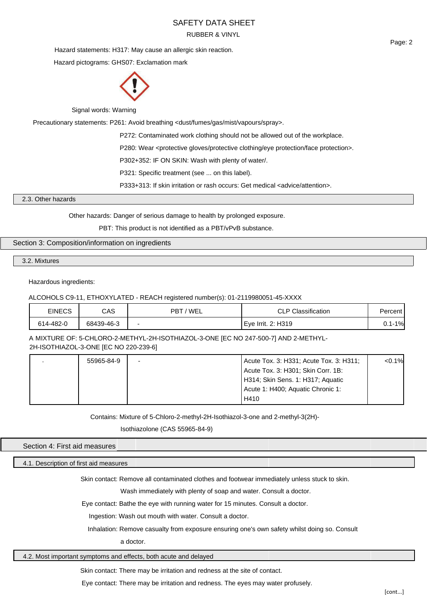Hazard statements: H317: May cause an allergic skin reaction.

Hazard pictograms: GHS07: Exclamation mark



Signal words: Warning

Precautionary statements: P261: Avoid breathing <dust/fumes/gas/mist/vapours/spray>.

P272: Contaminated work clothing should not be allowed out of the workplace.

P280: Wear <protective gloves/protective clothing/eye protection/face protection>.

P302+352: IF ON SKIN: Wash with plenty of water/.

P321: Specific treatment (see ... on this label).

P333+313: If skin irritation or rash occurs: Get medical <advice/attention>.

2.3. Other hazards

Other hazards: Danger of serious damage to health by prolonged exposure.

PBT: This product is not identified as a PBT/vPvB substance.

### Section 3: Composition/information on ingredients

3.2. Mixtures

### Hazardous ingredients:

### ALCOHOLS C9-11, ETHOXYLATED - REACH registered number(s): 01-2119980051-45-XXXX

| EINECS    | CAS        | ' WEL<br><b>PBT</b> | <b>CLP Classification</b> | Percent    |
|-----------|------------|---------------------|---------------------------|------------|
| 614-482-0 | 68439-46-3 | -                   | LEve Irrit. 2: H319       | $0.1 - 1%$ |

A MIXTURE OF: 5-CHLORO-2-METHYL-2H-ISOTHIAZOL-3-ONE [EC NO 247-500-7] AND 2-METHYL-2H-ISOTHIAZOL-3-ONE [EC NO 220-239-6]

| 55965-84-9 |                                   | Acute Tox. 3: H331; Acute Tox. 3: H311; | < 0.1% |
|------------|-----------------------------------|-----------------------------------------|--------|
|            |                                   | Acute Tox. 3: H301; Skin Corr. 1B:      |        |
|            |                                   | H314; Skin Sens. 1: H317; Aquatic       |        |
|            | Acute 1: H400; Aquatic Chronic 1: |                                         |        |
|            |                                   | H410                                    |        |

Contains: Mixture of 5-Chloro-2-methyl-2H-Isothiazol-3-one and 2-methyl-3(2H)-

Isothiazolone (CAS 55965-84-9)

#### Section 4: First aid measures

4.1. Description of first aid measures

Skin contact: Remove all contaminated clothes and footwear immediately unless stuck to skin.

Wash immediately with plenty of soap and water. Consult a doctor.

Eye contact: Bathe the eye with running water for 15 minutes. Consult a doctor.

Ingestion: Wash out mouth with water. Consult a doctor.

Inhalation: Remove casualty from exposure ensuring one's own safety whilst doing so. Consult

a doctor.

## 4.2. Most important symptoms and effects, both acute and delayed

Skin contact: There may be irritation and redness at the site of contact.

Eye contact: There may be irritation and redness. The eyes may water profusely.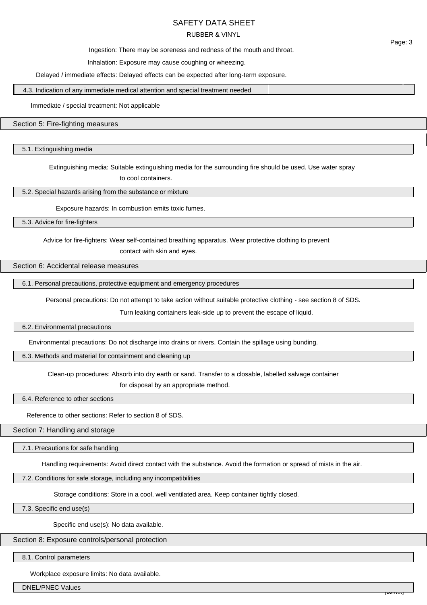# SAFETY DATA SHEET

### RUBBER & VINYL

Ingestion: There may be soreness and redness of the mouth and throat.

Inhalation: Exposure may cause coughing or wheezing.

Delayed / immediate effects: Delayed effects can be expected after long-term exposure.

4.3. Indication of any immediate medical attention and special treatment needed

Immediate / special treatment: Not applicable

### Section 5: Fire-fighting measures

5.1. Extinguishing media

Extinguishing media: Suitable extinguishing media for the surrounding fire should be used. Use water spray

to cool containers.

5.2. Special hazards arising from the substance or mixture

Exposure hazards: In combustion emits toxic fumes.

5.3. Advice for fire-fighters

Advice for fire-fighters: Wear self-contained breathing apparatus. Wear protective clothing to prevent

contact with skin and eyes.

## Section 6: Accidental release measures

6.1. Personal precautions, protective equipment and emergency procedures

Personal precautions: Do not attempt to take action without suitable protective clothing - see section 8 of SDS.

Turn leaking containers leak-side up to prevent the escape of liquid.

#### 6.2. Environmental precautions

Environmental precautions: Do not discharge into drains or rivers. Contain the spillage using bunding.

6.3. Methods and material for containment and cleaning up

Clean-up procedures: Absorb into dry earth or sand. Transfer to a closable, labelled salvage container for disposal by an appropriate method.

6.4. Reference to other sections

Reference to other sections: Refer to section 8 of SDS.

Section 7: Handling and storage

7.1. Precautions for safe handling

Handling requirements: Avoid direct contact with the substance. Avoid the formation or spread of mists in the air.

### 7.2. Conditions for safe storage, including any incompatibilities

Storage conditions: Store in a cool, well ventilated area. Keep container tightly closed.

7.3. Specific end use(s)

Specific end use(s): No data available.

Section 8: Exposure controls/personal protection

8.1. Control parameters

Workplace exposure limits: No data available.

DNEL/PNEC Values

Page: 3

[cont...]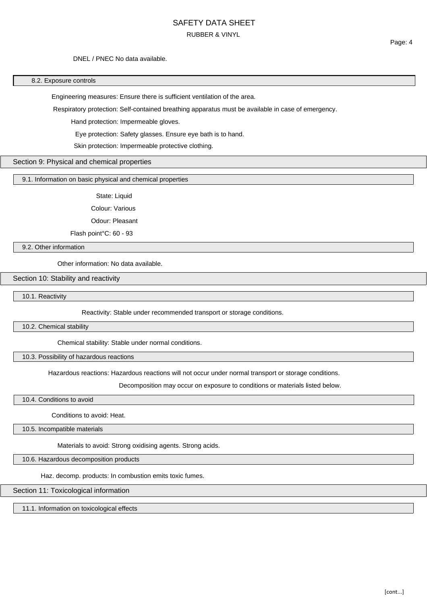### DNEL / PNEC No data available.

#### 8.2. Exposure controls

Engineering measures: Ensure there is sufficient ventilation of the area.

Respiratory protection: Self-contained breathing apparatus must be available in case of emergency.

Hand protection: Impermeable gloves.

Eye protection: Safety glasses. Ensure eye bath is to hand.

Skin protection: Impermeable protective clothing.

#### Section 9: Physical and chemical properties

### 9.1. Information on basic physical and chemical properties

State: Liquid

Colour: Various

Odour: Pleasant

Flash point°C: 60 - 93

9.2. Other information

Other information: No data available.

## Section 10: Stability and reactivity

10.1. Reactivity

Reactivity: Stable under recommended transport or storage conditions.

10.2. Chemical stability

Chemical stability: Stable under normal conditions.

10.3. Possibility of hazardous reactions

Hazardous reactions: Hazardous reactions will not occur under normal transport or storage conditions.

Decomposition may occur on exposure to conditions or materials listed below.

10.4. Conditions to avoid

Conditions to avoid: Heat.

10.5. Incompatible materials

Materials to avoid: Strong oxidising agents. Strong acids.

10.6. Hazardous decomposition products

Haz. decomp. products: In combustion emits toxic fumes.

Section 11: Toxicological information

11.1. Information on toxicological effects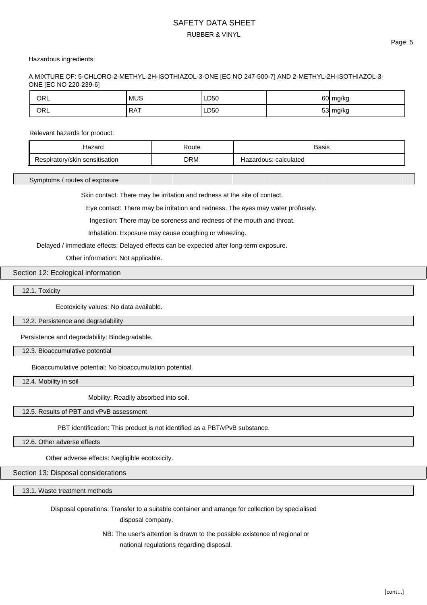### Hazardous ingredients:

A MIXTURE OF: 5-CHLORO-2-METHYL-2H-ISOTHIAZOL-3-ONE [EC NO 247-500-7] AND 2-METHYL-2H-ISOTHIAZOL-3- ONE [EC NO 220-239-6]

| ORL | <b>MUS</b> | LD50 | <b>G∩</b> | ח ש<br>້<br>. . |
|-----|------------|------|-----------|-----------------|
| ORL | RAT        | LD50 | $-$       | אי ⊿<br>$\cdot$ |

### Relevant hazards for product:

| 701                             | Route      | Basis                             |
|---------------------------------|------------|-----------------------------------|
| sensitisation<br>spiratorv/skin | <b>DRM</b> | calculated<br>dous:<br>.н.<br>ıa, |

Symptoms / routes of exposure

Skin contact: There may be irritation and redness at the site of contact.

Eye contact: There may be irritation and redness. The eyes may water profusely.

Ingestion: There may be soreness and redness of the mouth and throat.

Inhalation: Exposure may cause coughing or wheezing.

Delayed / immediate effects: Delayed effects can be expected after long-term exposure.

Other information: Not applicable.

#### Section 12: Ecological information

12.1. Toxicity

Ecotoxicity values: No data available.

12.2. Persistence and degradability

Persistence and degradability: Biodegradable.

12.3. Bioaccumulative potential

Bioaccumulative potential: No bioaccumulation potential.

12.4. Mobility in soil

Mobility: Readily absorbed into soil.

12.5. Results of PBT and vPvB assessment

PBT identification: This product is not identified as a PBT/vPvB substance.

12.6. Other adverse effects

Other adverse effects: Negligible ecotoxicity.

Section 13: Disposal considerations

13.1. Waste treatment methods

Disposal operations: Transfer to a suitable container and arrange for collection by specialised

disposal company.

NB: The user's attention is drawn to the possible existence of regional or national regulations regarding disposal.